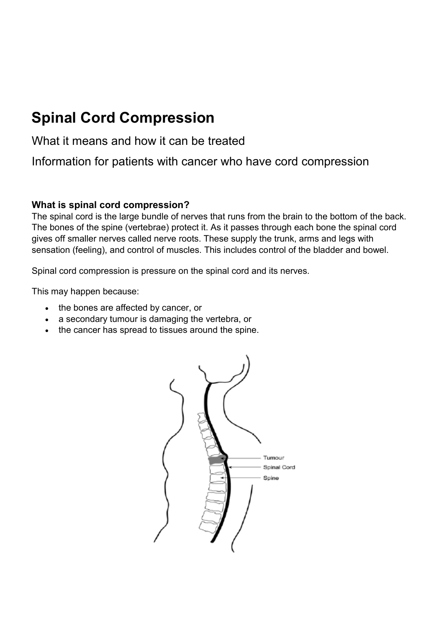# **Spinal Cord Compression**

# What it means and how it can be treated

Information for patients with cancer who have cord compression

#### **What is spinal cord compression?**

The spinal cord is the large bundle of nerves that runs from the brain to the bottom of the back. The bones of the spine (vertebrae) protect it. As it passes through each bone the spinal cord gives off smaller nerves called nerve roots. These supply the trunk, arms and legs with sensation (feeling), and control of muscles. This includes control of the bladder and bowel.

Spinal cord compression is pressure on the spinal cord and its nerves.

This may happen because:

- the bones are affected by cancer, or
- a secondary tumour is damaging the vertebra, or
- the cancer has spread to tissues around the spine.

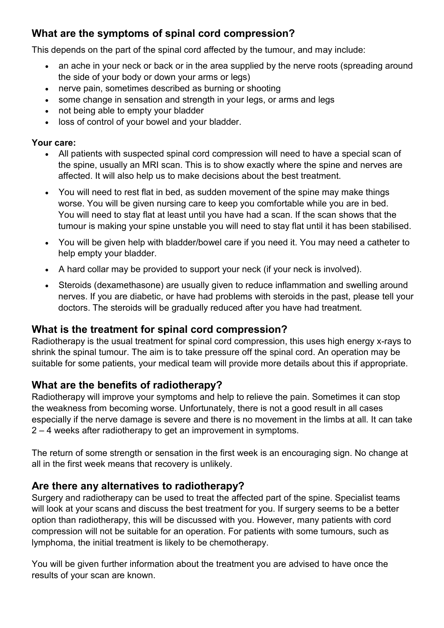## **What are the symptoms of spinal cord compression?**

This depends on the part of the spinal cord affected by the tumour, and may include:

- an ache in your neck or back or in the area supplied by the nerve roots (spreading around the side of your body or down your arms or legs)
- nerve pain, sometimes described as burning or shooting
- some change in sensation and strength in your legs, or arms and legs
- not being able to empty your bladder
- loss of control of your bowel and your bladder.

#### **Your care:**

- All patients with suspected spinal cord compression will need to have a special scan of the spine, usually an MRI scan. This is to show exactly where the spine and nerves are affected. It will also help us to make decisions about the best treatment.
- You will need to rest flat in bed, as sudden movement of the spine may make things worse. You will be given nursing care to keep you comfortable while you are in bed. You will need to stay flat at least until you have had a scan. If the scan shows that the tumour is making your spine unstable you will need to stay flat until it has been stabilised.
- You will be given help with bladder/bowel care if you need it. You may need a catheter to help empty your bladder.
- A hard collar may be provided to support your neck (if your neck is involved).
- Steroids (dexamethasone) are usually given to reduce inflammation and swelling around nerves. If you are diabetic, or have had problems with steroids in the past, please tell your doctors. The steroids will be gradually reduced after you have had treatment.

## **What is the treatment for spinal cord compression?**

Radiotherapy is the usual treatment for spinal cord compression, this uses high energy x-rays to shrink the spinal tumour. The aim is to take pressure off the spinal cord. An operation may be suitable for some patients, your medical team will provide more details about this if appropriate.

## **What are the benefits of radiotherapy?**

Radiotherapy will improve your symptoms and help to relieve the pain. Sometimes it can stop the weakness from becoming worse. Unfortunately, there is not a good result in all cases especially if the nerve damage is severe and there is no movement in the limbs at all. It can take 2 – 4 weeks after radiotherapy to get an improvement in symptoms.

The return of some strength or sensation in the first week is an encouraging sign. No change at all in the first week means that recovery is unlikely.

## **Are there any alternatives to radiotherapy?**

Surgery and radiotherapy can be used to treat the affected part of the spine. Specialist teams will look at your scans and discuss the best treatment for you. If surgery seems to be a better option than radiotherapy, this will be discussed with you. However, many patients with cord compression will not be suitable for an operation. For patients with some tumours, such as lymphoma, the initial treatment is likely to be chemotherapy.

You will be given further information about the treatment you are advised to have once the results of your scan are known.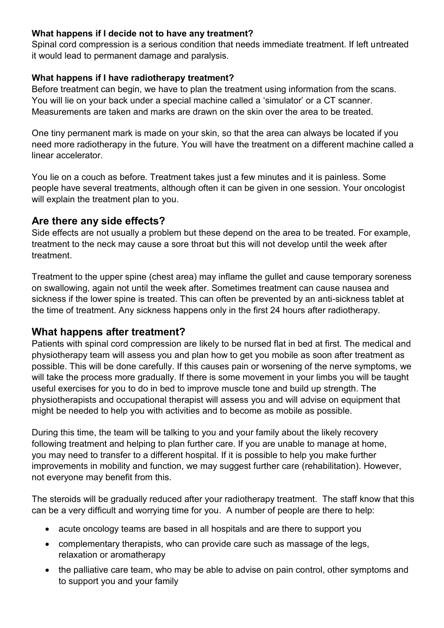#### **What happens if I decide not to have any treatment?**

Spinal cord compression is a serious condition that needs immediate treatment. If left untreated it would lead to permanent damage and paralysis.

#### **What happens if I have radiotherapy treatment?**

Before treatment can begin, we have to plan the treatment using information from the scans. You will lie on your back under a special machine called a 'simulator' or a CT scanner. Measurements are taken and marks are drawn on the skin over the area to be treated.

One tiny permanent mark is made on your skin, so that the area can always be located if you need more radiotherapy in the future. You will have the treatment on a different machine called a linear accelerator.

You lie on a couch as before. Treatment takes just a few minutes and it is painless. Some people have several treatments, although often it can be given in one session. Your oncologist will explain the treatment plan to you.

## **Are there any side effects?**

Side effects are not usually a problem but these depend on the area to be treated. For example, treatment to the neck may cause a sore throat but this will not develop until the week after treatment.

Treatment to the upper spine (chest area) may inflame the gullet and cause temporary soreness on swallowing, again not until the week after. Sometimes treatment can cause nausea and sickness if the lower spine is treated. This can often be prevented by an anti-sickness tablet at the time of treatment. Any sickness happens only in the first 24 hours after radiotherapy.

## **What happens after treatment?**

Patients with spinal cord compression are likely to be nursed flat in bed at first. The medical and physiotherapy team will assess you and plan how to get you mobile as soon after treatment as possible. This will be done carefully. If this causes pain or worsening of the nerve symptoms, we will take the process more gradually. If there is some movement in your limbs you will be taught useful exercises for you to do in bed to improve muscle tone and build up strength. The physiotherapists and occupational therapist will assess you and will advise on equipment that might be needed to help you with activities and to become as mobile as possible.

During this time, the team will be talking to you and your family about the likely recovery following treatment and helping to plan further care. If you are unable to manage at home, you may need to transfer to a different hospital. If it is possible to help you make further improvements in mobility and function, we may suggest further care (rehabilitation). However, not everyone may benefit from this.

The steroids will be gradually reduced after your radiotherapy treatment. The staff know that this can be a very difficult and worrying time for you. A number of people are there to help:

- acute oncology teams are based in all hospitals and are there to support you
- complementary therapists, who can provide care such as massage of the legs, relaxation or aromatherapy
- the palliative care team, who may be able to advise on pain control, other symptoms and to support you and your family